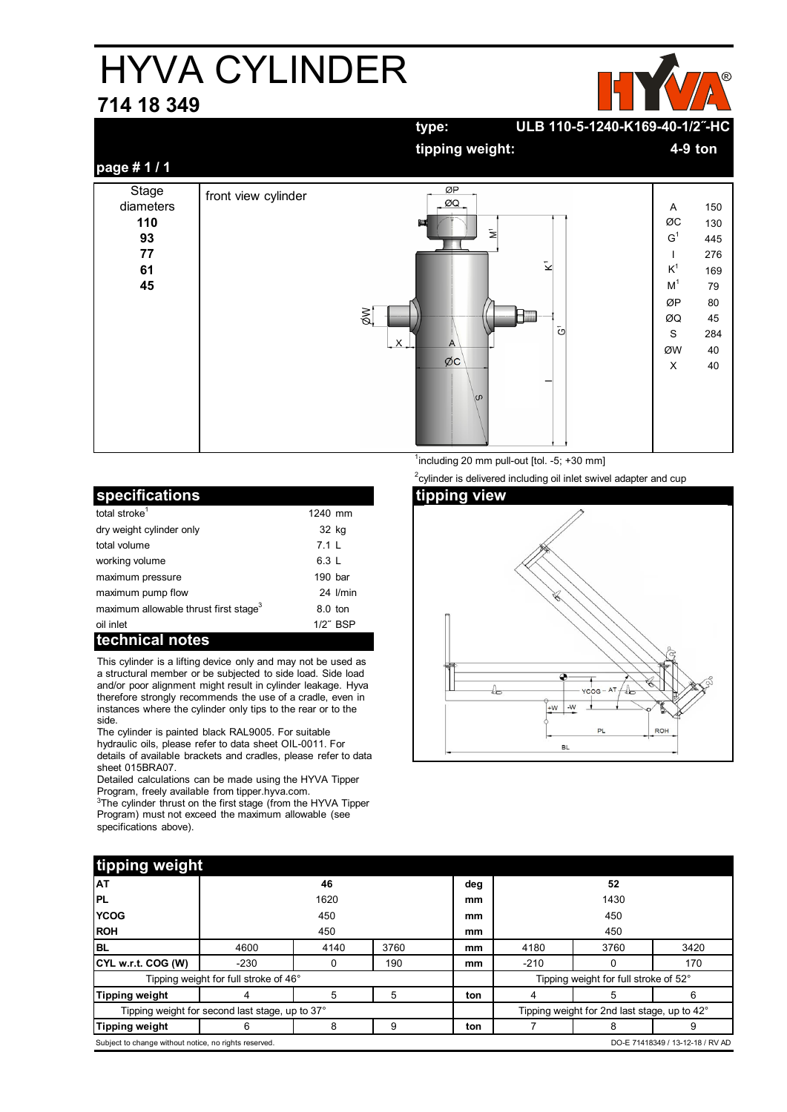## HYVA CYLINDER

## **714 18 349**



|                                                   |                     | ULB 110-5-1240-K169-40-1/2"-HC<br>type:                                                      |                                                                                                                                                          |
|---------------------------------------------------|---------------------|----------------------------------------------------------------------------------------------|----------------------------------------------------------------------------------------------------------------------------------------------------------|
|                                                   |                     | tipping weight:                                                                              | 4-9 ton                                                                                                                                                  |
| page #1/1                                         |                     |                                                                                              |                                                                                                                                                          |
| Stage<br>diameters<br>110<br>93<br>77<br>61<br>45 | front view cylinder | ØP<br>ØQ<br>耳<br>$\mathbf{z}$<br>$\bar{\mathbf{z}}$<br>XØ<br>$\bar{c}$<br>X<br>A<br>ØC<br>\ഗ | 150<br>Α<br>ØC<br>130<br>G <sup>1</sup><br>445<br>276<br>$K^1$<br>169<br>M <sup>1</sup><br>79<br>ØP<br>80<br>45<br>ØQ<br>S<br>284<br>ØW<br>40<br>X<br>40 |

| specifications                                    |           |             |
|---------------------------------------------------|-----------|-------------|
| total stroke <sup>1</sup>                         | 1240 mm   |             |
| dry weight cylinder only                          | 32 kg     |             |
| total volume                                      | 711       |             |
| working volume                                    | 6.3 L     |             |
| maximum pressure                                  | $190$ bar |             |
| maximum pump flow                                 |           | 24 I/min    |
| maximum allowable thrust first stage <sup>3</sup> | $8.0$ ton |             |
| oil inlet                                         |           | $1/2$ " BSP |
| technical notes                                   |           |             |

This cylinder is a lifting device only and may not be used as a structural member or be subjected to side load. Side load and/or poor alignment might result in cylinder leakage. Hyva therefore strongly recommends the use of a cradle, even in instances where the cylinder only tips to the rear or to the side.

The cylinder is painted black RAL9005. For suitable hydraulic oils, please refer to data sheet OIL-0011. For details of available brackets and cradles, please refer to data sheet 015BRA07.

Detailed calculations can be made using the HYVA Tipper Program, freely available from tipper.hyva.com.

<sup>3</sup>The cylinder thrust on the first stage (from the HYVA Tipper Program) must not exceed the maximum allowable (see specifications above).

 $\frac{1}{1}$ including 20 mm pull-out [tol. -5; +30 mm]

 $2$ cylinder is delivered including oil inlet swivel adapter and cup



| tipping weight                                                                            |        |      |      |      |                                              |      |      |
|-------------------------------------------------------------------------------------------|--------|------|------|------|----------------------------------------------|------|------|
| <b>AT</b>                                                                                 | 46     |      |      | deg  | 52                                           |      |      |
| <b>PL</b>                                                                                 | 1620   |      | mm   | 1430 |                                              |      |      |
| <b>YCOG</b>                                                                               | 450    |      | mm   | 450  |                                              |      |      |
| <b>ROH</b>                                                                                | 450    |      |      | mm   | 450                                          |      |      |
| BL                                                                                        | 4600   | 4140 | 3760 | mm   | 4180                                         | 3760 | 3420 |
| CYL w.r.t. COG (W)                                                                        | $-230$ |      | 190  | mm   | $-210$                                       |      | 170  |
| Tipping weight for full stroke of 46°                                                     |        |      |      |      | Tipping weight for full stroke of 52°        |      |      |
| Tipping weight                                                                            |        | 5    | 5    | ton  |                                              |      | 6    |
| Tipping weight for second last stage, up to 37°                                           |        |      |      |      | Tipping weight for 2nd last stage, up to 42° |      |      |
| Tipping weight                                                                            | 6      | 8    | 9    | ton  |                                              | 8    | 9    |
| Subject to change without notice, no rights reserved.<br>DO-E 71418349 / 13-12-18 / RV AD |        |      |      |      |                                              |      |      |